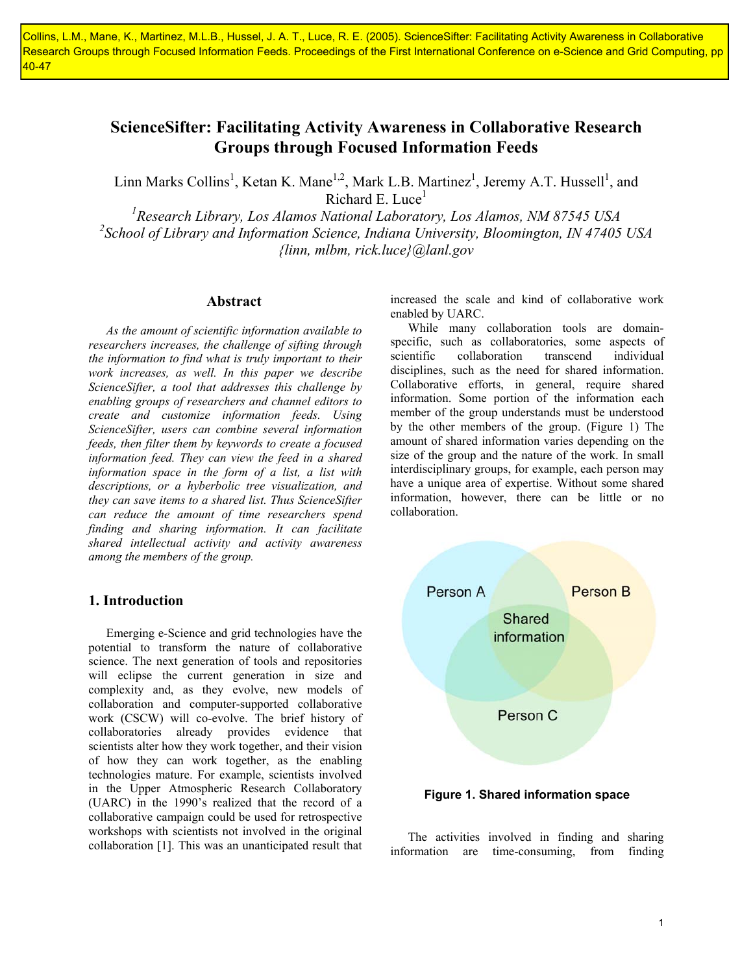Collins, L.M., Mane, K., Martinez, M.L.B., Hussel, J. A. T., Luce, R. E. (2005). ScienceSifter: Facilitating Activity Awareness in Collaborative Research Groups through Focused Information Feeds. Proceedings of the First International Conference on e-Science and Grid Computing, pp  $40 - 47$ 

# **ScienceSifter: Facilitating Activity Awareness in Collaborative Research Groups through Focused Information Feeds**

Linn Marks Collins<sup>1</sup>, Ketan K. Mane<sup>1,2</sup>, Mark L.B. Martinez<sup>1</sup>, Jeremy A.T. Hussell<sup>1</sup>, and Richard E. Luce<sup>1</sup>

<sup>1</sup> Research Library, Los Alamos National Laboratory, Los Alamos, NM 87545 USA *2 School of Library and Information Science, Indiana University, Bloomington, IN 47405 USA {linn, mlbm, rick.luce}@lanl.gov* 

### **Abstract**

*As the amount of scientific information available to researchers increases, the challenge of sifting through the information to find what is truly important to their work increases, as well. In this paper we describe ScienceSifter, a tool that addresses this challenge by enabling groups of researchers and channel editors to create and customize information feeds. Using ScienceSifter, users can combine several information feeds, then filter them by keywords to create a focused information feed. They can view the feed in a shared information space in the form of a list, a list with descriptions, or a hyberbolic tree visualization, and they can save items to a shared list. Thus ScienceSifter can reduce the amount of time researchers spend finding and sharing information. It can facilitate shared intellectual activity and activity awareness among the members of the group.* 

# **1. Introduction**

Emerging e-Science and grid technologies have the potential to transform the nature of collaborative science. The next generation of tools and repositories will eclipse the current generation in size and complexity and, as they evolve, new models of collaboration and computer-supported collaborative work (CSCW) will co-evolve. The brief history of collaboratories already provides evidence that scientists alter how they work together, and their vision of how they can work together, as the enabling technologies mature. For example, scientists involved in the Upper Atmospheric Research Collaboratory (UARC) in the 1990's realized that the record of a collaborative campaign could be used for retrospective workshops with scientists not involved in the original collaboration [1]. This was an unanticipated result that

increased the scale and kind of collaborative work enabled by UARC.

While many collaboration tools are domainspecific, such as collaboratories, some aspects of scientific collaboration transcend individual disciplines, such as the need for shared information. Collaborative efforts, in general, require shared information. Some portion of the information each member of the group understands must be understood by the other members of the group. (Figure 1) The amount of shared information varies depending on the size of the group and the nature of the work. In small interdisciplinary groups, for example, each person may have a unique area of expertise. Without some shared information, however, there can be little or no collaboration.



**Figure 1. Shared information space** 

The activities involved in finding and sharing information are time-consuming, from finding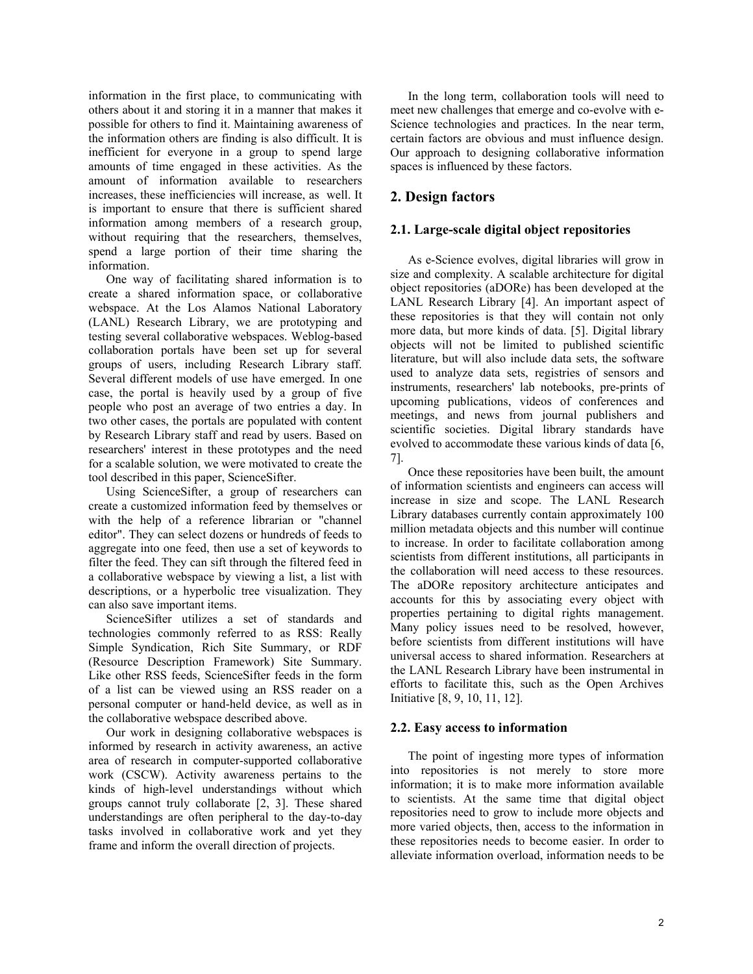information in the first place, to communicating with others about it and storing it in a manner that makes it possible for others to find it. Maintaining awareness of the information others are finding is also difficult. It is inefficient for everyone in a group to spend large amounts of time engaged in these activities. As the amount of information available to researchers increases, these inefficiencies will increase, as well. It is important to ensure that there is sufficient shared information among members of a research group, without requiring that the researchers, themselves, spend a large portion of their time sharing the information.

One way of facilitating shared information is to create a shared information space, or collaborative webspace. At the Los Alamos National Laboratory (LANL) Research Library, we are prototyping and testing several collaborative webspaces. Weblog-based collaboration portals have been set up for several groups of users, including Research Library staff. Several different models of use have emerged. In one case, the portal is heavily used by a group of five people who post an average of two entries a day. In two other cases, the portals are populated with content by Research Library staff and read by users. Based on researchers' interest in these prototypes and the need for a scalable solution, we were motivated to create the tool described in this paper, ScienceSifter.

Using ScienceSifter, a group of researchers can create a customized information feed by themselves or with the help of a reference librarian or "channel editor". They can select dozens or hundreds of feeds to aggregate into one feed, then use a set of keywords to filter the feed. They can sift through the filtered feed in a collaborative webspace by viewing a list, a list with descriptions, or a hyperbolic tree visualization. They can also save important items.

ScienceSifter utilizes a set of standards and technologies commonly referred to as RSS: Really Simple Syndication, Rich Site Summary, or RDF (Resource Description Framework) Site Summary. Like other RSS feeds, ScienceSifter feeds in the form of a list can be viewed using an RSS reader on a personal computer or hand-held device, as well as in the collaborative webspace described above.

Our work in designing collaborative webspaces is informed by research in activity awareness, an active area of research in computer-supported collaborative work (CSCW). Activity awareness pertains to the kinds of high-level understandings without which groups cannot truly collaborate [2, 3]. These shared understandings are often peripheral to the day-to-day tasks involved in collaborative work and yet they frame and inform the overall direction of projects.

In the long term, collaboration tools will need to meet new challenges that emerge and co-evolve with e-Science technologies and practices. In the near term, certain factors are obvious and must influence design. Our approach to designing collaborative information spaces is influenced by these factors.

# **2. Design factors**

# **2.1. Large-scale digital object repositories**

As e-Science evolves, digital libraries will grow in size and complexity. A scalable architecture for digital object repositories (aDORe) has been developed at the LANL Research Library [4]. An important aspect of these repositories is that they will contain not only more data, but more kinds of data. [5]. Digital library objects will not be limited to published scientific literature, but will also include data sets, the software used to analyze data sets, registries of sensors and instruments, researchers' lab notebooks, pre-prints of upcoming publications, videos of conferences and meetings, and news from journal publishers and scientific societies. Digital library standards have evolved to accommodate these various kinds of data [6, 7].

Once these repositories have been built, the amount of information scientists and engineers can access will increase in size and scope. The LANL Research Library databases currently contain approximately 100 million metadata objects and this number will continue to increase. In order to facilitate collaboration among scientists from different institutions, all participants in the collaboration will need access to these resources. The aDORe repository architecture anticipates and accounts for this by associating every object with properties pertaining to digital rights management. Many policy issues need to be resolved, however, before scientists from different institutions will have universal access to shared information. Researchers at the LANL Research Library have been instrumental in efforts to facilitate this, such as the Open Archives Initiative [8, 9, 10, 11, 12].

# **2.2. Easy access to information**

The point of ingesting more types of information into repositories is not merely to store more information; it is to make more information available to scientists. At the same time that digital object repositories need to grow to include more objects and more varied objects, then, access to the information in these repositories needs to become easier. In order to alleviate information overload, information needs to be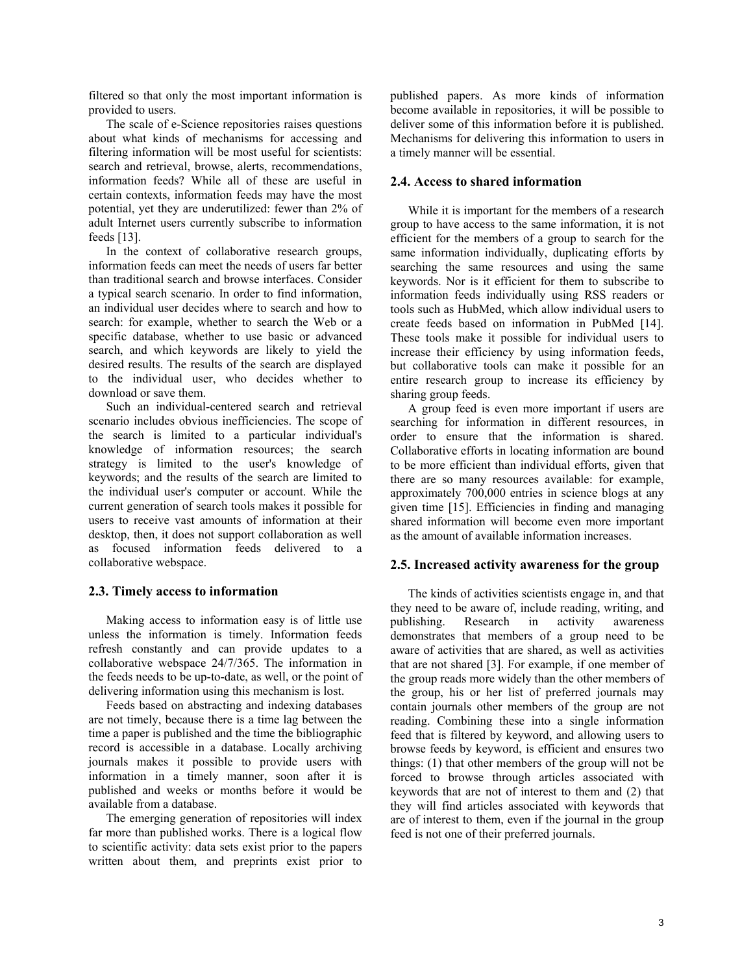filtered so that only the most important information is provided to users.

The scale of e-Science repositories raises questions about what kinds of mechanisms for accessing and filtering information will be most useful for scientists: search and retrieval, browse, alerts, recommendations, information feeds? While all of these are useful in certain contexts, information feeds may have the most potential, yet they are underutilized: fewer than 2% of adult Internet users currently subscribe to information feeds [13].

In the context of collaborative research groups, information feeds can meet the needs of users far better than traditional search and browse interfaces. Consider a typical search scenario. In order to find information, an individual user decides where to search and how to search: for example, whether to search the Web or a specific database, whether to use basic or advanced search, and which keywords are likely to yield the desired results. The results of the search are displayed to the individual user, who decides whether to download or save them.

Such an individual-centered search and retrieval scenario includes obvious inefficiencies. The scope of the search is limited to a particular individual's knowledge of information resources; the search strategy is limited to the user's knowledge of keywords; and the results of the search are limited to the individual user's computer or account. While the current generation of search tools makes it possible for users to receive vast amounts of information at their desktop, then, it does not support collaboration as well as focused information feeds delivered to a collaborative webspace.

# **2.3. Timely access to information**

Making access to information easy is of little use unless the information is timely. Information feeds refresh constantly and can provide updates to a collaborative webspace 24/7/365. The information in the feeds needs to be up-to-date, as well, or the point of delivering information using this mechanism is lost.

Feeds based on abstracting and indexing databases are not timely, because there is a time lag between the time a paper is published and the time the bibliographic record is accessible in a database. Locally archiving journals makes it possible to provide users with information in a timely manner, soon after it is published and weeks or months before it would be available from a database.

The emerging generation of repositories will index far more than published works. There is a logical flow to scientific activity: data sets exist prior to the papers written about them, and preprints exist prior to published papers. As more kinds of information become available in repositories, it will be possible to deliver some of this information before it is published. Mechanisms for delivering this information to users in a timely manner will be essential.

# **2.4. Access to shared information**

While it is important for the members of a research group to have access to the same information, it is not efficient for the members of a group to search for the same information individually, duplicating efforts by searching the same resources and using the same keywords. Nor is it efficient for them to subscribe to information feeds individually using RSS readers or tools such as HubMed, which allow individual users to create feeds based on information in PubMed [14]. These tools make it possible for individual users to increase their efficiency by using information feeds, but collaborative tools can make it possible for an entire research group to increase its efficiency by sharing group feeds.

A group feed is even more important if users are searching for information in different resources, in order to ensure that the information is shared. Collaborative efforts in locating information are bound to be more efficient than individual efforts, given that there are so many resources available: for example, approximately 700,000 entries in science blogs at any given time [15]. Efficiencies in finding and managing shared information will become even more important as the amount of available information increases.

# **2.5. Increased activity awareness for the group**

The kinds of activities scientists engage in, and that they need to be aware of, include reading, writing, and publishing. Research in activity awareness demonstrates that members of a group need to be aware of activities that are shared, as well as activities that are not shared [3]. For example, if one member of the group reads more widely than the other members of the group, his or her list of preferred journals may contain journals other members of the group are not reading. Combining these into a single information feed that is filtered by keyword, and allowing users to browse feeds by keyword, is efficient and ensures two things: (1) that other members of the group will not be forced to browse through articles associated with keywords that are not of interest to them and (2) that they will find articles associated with keywords that are of interest to them, even if the journal in the group feed is not one of their preferred journals.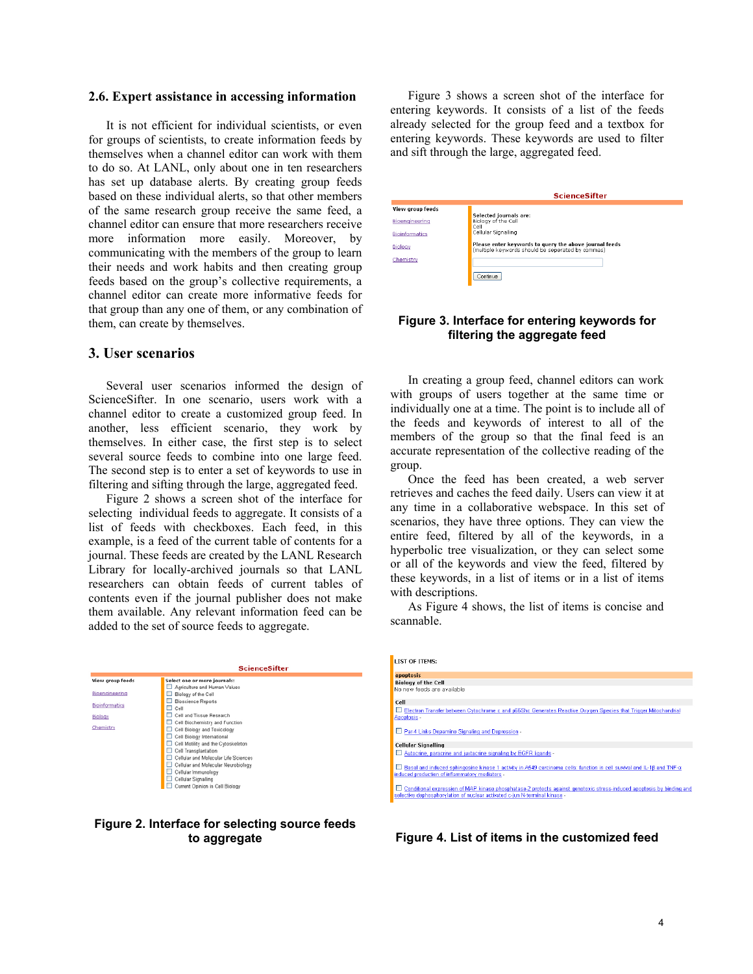### **2.6. Expert assistance in accessing information**

It is not efficient for individual scientists, or even for groups of scientists, to create information feeds by themselves when a channel editor can work with them to do so. At LANL, only about one in ten researchers has set up database alerts. By creating group feeds based on these individual alerts, so that other members of the same research group receive the same feed, a channel editor can ensure that more researchers receive more information more easily. Moreover, by communicating with the members of the group to learn their needs and work habits and then creating group feeds based on the group's collective requirements, a channel editor can create more informative feeds for that group than any one of them, or any combination of them, can create by themselves.

# **3. User scenarios**

Several user scenarios informed the design of ScienceSifter. In one scenario, users work with a channel editor to create a customized group feed. In another, less efficient scenario, they work by themselves. In either case, the first step is to select several source feeds to combine into one large feed. The second step is to enter a set of keywords to use in filtering and sifting through the large, aggregated feed.

Figure 2 shows a screen shot of the interface for selecting individual feeds to aggregate. It consists of a list of feeds with checkboxes. Each feed, in this example, is a feed of the current table of contents for a journal. These feeds are created by the LANL Research Library for locally-archived journals so that LANL researchers can obtain feeds of current tables of contents even if the journal publisher does not make them available. Any relevant information feed can be added to the set of source feeds to aggregate.

|                  | <b>ScienceSifter</b>                                                   |
|------------------|------------------------------------------------------------------------|
| View group feeds | Select one or more journals:                                           |
| Bioengineering   | Agriculture and Human Values<br>Biology of the Cell                    |
| Bioinformatics   | <b>Bioscience Reports</b>                                              |
| Biology          | Cell<br>▭<br>Cell and Tissue Research                                  |
| Chemistry        | Cell Biochemistry and Function<br>ш                                    |
|                  | Cell Biology and Toxicology<br>Cell Biology International<br>□         |
|                  | Cell Motility and the Cytoskeleton<br>ப                                |
|                  | Cell Transplantation<br>ш<br>Cellular and Molecular Life Sciences<br>ш |
|                  | Cellular and Molecular Neurobiology                                    |
|                  | Cellular Immunology<br>Cellular Signalling                             |
|                  | Current Opinion in Cell Biology                                        |

### **Figure 2. Interface for selecting source feeds to aggregate**

Figure 3 shows a screen shot of the interface for entering keywords. It consists of a list of the feeds already selected for the group feed and a textbox for entering keywords. These keywords are used to filter and sift through the large, aggregated feed.

|                       | <b>ScienceSifter</b>                                                                                        |
|-----------------------|-------------------------------------------------------------------------------------------------------------|
| View group feeds      |                                                                                                             |
| Bioenaineerina        | Selected journals are:<br>Biology of the Cell<br>Cell                                                       |
| <b>Bioinformatics</b> | Cellular Signalling                                                                                         |
| Biology               | Please enter keywords to query the above journal feeds<br>(multiple keywords should be seperated by commas) |
| Chemistry             |                                                                                                             |
|                       | Continue                                                                                                    |

# **Figure 3. Interface for entering keywords for filtering the aggregate feed**

In creating a group feed, channel editors can work with groups of users together at the same time or individually one at a time. The point is to include all of the feeds and keywords of interest to all of the members of the group so that the final feed is an accurate representation of the collective reading of the group.

Once the feed has been created, a web server retrieves and caches the feed daily. Users can view it at any time in a collaborative webspace. In this set of scenarios, they have three options. They can view the entire feed, filtered by all of the keywords, in a hyperbolic tree visualization, or they can select some or all of the keywords and view the feed, filtered by these keywords, in a list of items or in a list of items with descriptions.

As Figure 4 shows, the list of items is concise and scannable.

| <b>LIST OF ITEMS:</b>                                                                                                                                                                               |
|-----------------------------------------------------------------------------------------------------------------------------------------------------------------------------------------------------|
| apoptosis                                                                                                                                                                                           |
| <b>Biology of the Cell</b>                                                                                                                                                                          |
| No new feeds are available                                                                                                                                                                          |
| Cell                                                                                                                                                                                                |
| Electron Transfer between Cytochrome c and p66Shc Generates Reactive Oxygen Species that Trigger Mitochondrial<br>Apoptosis -                                                                       |
| Par-4 Links Dopamine Signaling and Depression -                                                                                                                                                     |
| <b>Cellular Signalling</b>                                                                                                                                                                          |
| Autocrine, paracrine and juxtacrine signaling by EGFR ligands -                                                                                                                                     |
| Basal and induced sphingosine kinase 1 activity in A549 carcinoma cells: function in cell survival and IL-18 and TNF-a<br>induced production of inflammatory mediators -                            |
| Conditional expression of MAP kinase phosphatase-2 protects against genotoxic stress-induced apoptosis by binding and<br>selective dephosphorylation of nuclear activated c-jun N-terminal kinase - |
|                                                                                                                                                                                                     |

**Figure 4. List of items in the customized feed**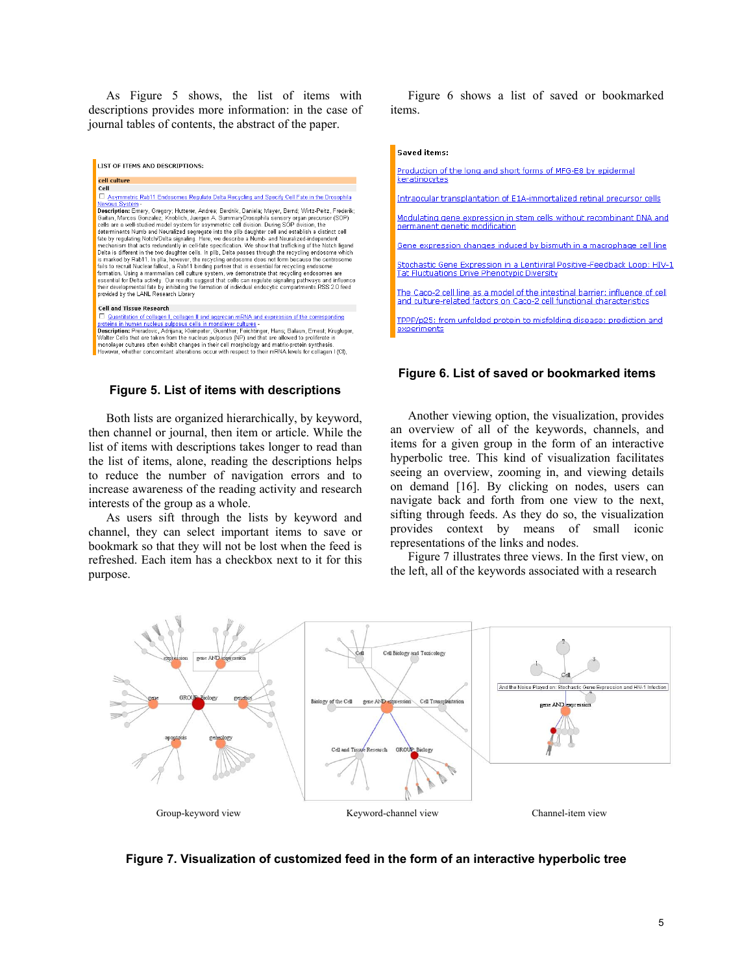As Figure 5 shows, the list of items with descriptions provides more information: in the case of journal tables of contents, the abstract of the paper.

| LIST OF ITEMS AND DESCRIPTIONS:                                                                                                                                                                                                                                                                                                                                                                                                                                                                                                                                                                                                                                                                                                                                                                                                                                                                                                                                                                                                                                                                                                                                                                                                                                                                                        |
|------------------------------------------------------------------------------------------------------------------------------------------------------------------------------------------------------------------------------------------------------------------------------------------------------------------------------------------------------------------------------------------------------------------------------------------------------------------------------------------------------------------------------------------------------------------------------------------------------------------------------------------------------------------------------------------------------------------------------------------------------------------------------------------------------------------------------------------------------------------------------------------------------------------------------------------------------------------------------------------------------------------------------------------------------------------------------------------------------------------------------------------------------------------------------------------------------------------------------------------------------------------------------------------------------------------------|
|                                                                                                                                                                                                                                                                                                                                                                                                                                                                                                                                                                                                                                                                                                                                                                                                                                                                                                                                                                                                                                                                                                                                                                                                                                                                                                                        |
| cell culture                                                                                                                                                                                                                                                                                                                                                                                                                                                                                                                                                                                                                                                                                                                                                                                                                                                                                                                                                                                                                                                                                                                                                                                                                                                                                                           |
| Cell                                                                                                                                                                                                                                                                                                                                                                                                                                                                                                                                                                                                                                                                                                                                                                                                                                                                                                                                                                                                                                                                                                                                                                                                                                                                                                                   |
| п.<br>Asymmetric Rab11 Endosomes Regulate Delta Recycling and Specify Cell Fate in the Drosophila                                                                                                                                                                                                                                                                                                                                                                                                                                                                                                                                                                                                                                                                                                                                                                                                                                                                                                                                                                                                                                                                                                                                                                                                                      |
| Nervous System -                                                                                                                                                                                                                                                                                                                                                                                                                                                                                                                                                                                                                                                                                                                                                                                                                                                                                                                                                                                                                                                                                                                                                                                                                                                                                                       |
| Description: Emery, Gregory; Hutterer, Andrea; Berdnik, Daniela; Mayer, Bernd; Wirtz-Peitz, Frederik;<br>Gaitan, Marcos Gonzalez; Knoblich, Juergen A. SummaryDrosophila sensory organ precursor (SOP)<br>cells are a well-studied model system for asymmetric cell division. During SOP division, the<br>determinants Numb and Neuralized segregate into the pllb daughter cell and establish a distinct cell<br>fate by regulating Notch/Delta signaling. Here, we describe a Numb- and Neuralized-independent<br>mechanism that acts redundantly in cell-fate specification. We show that trafficking of the Notch ligand<br>Delta is different in the two daughter cells. In pllb, Delta passes through the recycling endosome which<br>is marked by Rab11. In plla, however, the recycling endosome does not form because the centrosome<br>fails to recruit Nuclear fallout, a Rab11 binding partner that is essential for recycling endosome<br>formation. Using a mammalian cell culture system, we demonstrate that recycling endosomes are<br>essential for Delta activity. Our results suggest that cells can regulate signaling pathways and influence<br>their developmental fate by inhibiting the formation of individual endocytic compartments. RSS 2.0 feed<br>provided by the LANL Research Library |
| <b>Cell and Tissue Research</b>                                                                                                                                                                                                                                                                                                                                                                                                                                                                                                                                                                                                                                                                                                                                                                                                                                                                                                                                                                                                                                                                                                                                                                                                                                                                                        |
|                                                                                                                                                                                                                                                                                                                                                                                                                                                                                                                                                                                                                                                                                                                                                                                                                                                                                                                                                                                                                                                                                                                                                                                                                                                                                                                        |
| Quantitation of collagen I, collagen II and aggrecan mRNA and expression of the corresponding<br>proteins in human nucleus pulposus cells in monolayer cultures -                                                                                                                                                                                                                                                                                                                                                                                                                                                                                                                                                                                                                                                                                                                                                                                                                                                                                                                                                                                                                                                                                                                                                      |
| Description: Preradovic, Adrijana; Kleinpeter, Guenther; Feichtinger, Hans; Balaun, Ernest; Krugluger,                                                                                                                                                                                                                                                                                                                                                                                                                                                                                                                                                                                                                                                                                                                                                                                                                                                                                                                                                                                                                                                                                                                                                                                                                 |
| Walter Cells that are taken from the nucleus pulposus (NP) and that are allowed to proliferate in                                                                                                                                                                                                                                                                                                                                                                                                                                                                                                                                                                                                                                                                                                                                                                                                                                                                                                                                                                                                                                                                                                                                                                                                                      |
| monolayer cultures often exhibit changes in their cell morphology and matrix-protein synthesis.                                                                                                                                                                                                                                                                                                                                                                                                                                                                                                                                                                                                                                                                                                                                                                                                                                                                                                                                                                                                                                                                                                                                                                                                                        |
| Harrassa rikatkan agagamitant altamtinga pagrusik mangant ta thair mPNR langla fan aglaman L/OB.                                                                                                                                                                                                                                                                                                                                                                                                                                                                                                                                                                                                                                                                                                                                                                                                                                                                                                                                                                                                                                                                                                                                                                                                                       |

### **Figure 5. List of items with descriptions**

Both lists are organized hierarchically, by keyword, then channel or journal, then item or article. While the list of items with descriptions takes longer to read than the list of items, alone, reading the descriptions helps to reduce the number of navigation errors and to increase awareness of the reading activity and research interests of the group as a whole.

As users sift through the lists by keyword and channel, they can select important items to save or bookmark so that they will not be lost when the feed is refreshed. Each item has a checkbox next to it for this purpose.

Figure 6 shows a list of saved or bookmarked items.

#### **Saved items:**

Production of the long and short forms of MFG-E8 by epidermal keratinocytes

Intraocular transplantation of E1A-immortalized retinal precursor cells

Modulating gene expression in stem cells without recombinant DNA and permanent genetic modification

Gene expression changes induced by bismuth in a macrophage cell line

Stochastic Gene Expression in a Lentiviral Positive-Feedback Loop: HIV-1 **Tat Fluctuations Drive Phenotypic Diversity** 

The Caco-2 cell line as a model of the intestinal barrier: influence of cell and culture-related factors on Caco-2 cell functional characteristics

TPPP/p25: from unfolded protein to misfolding disease; prediction and experiments

### **Figure 6. List of saved or bookmarked items**

Another viewing option, the visualization, provides an overview of all of the keywords, channels, and items for a given group in the form of an interactive hyperbolic tree. This kind of visualization facilitates seeing an overview, zooming in, and viewing details on demand [16]. By clicking on nodes, users can navigate back and forth from one view to the next, sifting through feeds. As they do so, the visualization provides context by means of small iconic representations of the links and nodes.

Figure 7 illustrates three views. In the first view, on the left, all of the keywords associated with a research



### **Figure 7. Visualization of customized feed in the form of an interactive hyperbolic tree**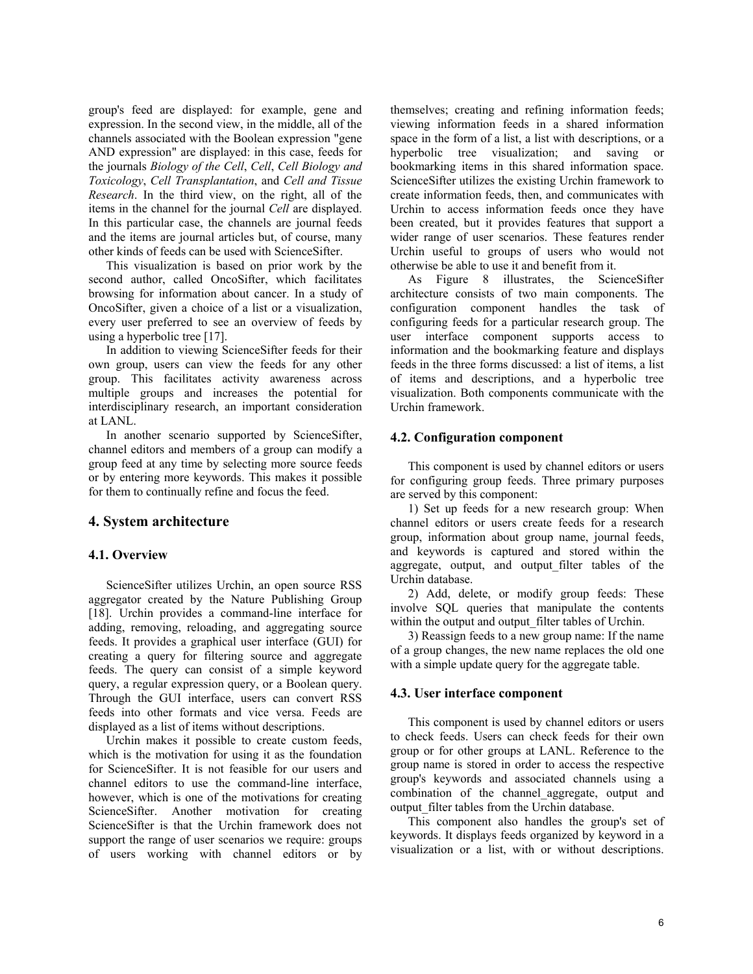group's feed are displayed: for example, gene and expression. In the second view, in the middle, all of the channels associated with the Boolean expression "gene AND expression" are displayed: in this case, feeds for the journals *Biology of the Cell*, *Cell*, *Cell Biology and Toxicology*, *Cell Transplantation*, and *Cell and Tissue Research*. In the third view, on the right, all of the items in the channel for the journal *Cell* are displayed. In this particular case, the channels are journal feeds and the items are journal articles but, of course, many other kinds of feeds can be used with ScienceSifter.

This visualization is based on prior work by the second author, called OncoSifter, which facilitates browsing for information about cancer. In a study of OncoSifter, given a choice of a list or a visualization, every user preferred to see an overview of feeds by using a hyperbolic tree [17].

In addition to viewing ScienceSifter feeds for their own group, users can view the feeds for any other group. This facilitates activity awareness across multiple groups and increases the potential for interdisciplinary research, an important consideration at LANL.

In another scenario supported by ScienceSifter, channel editors and members of a group can modify a group feed at any time by selecting more source feeds or by entering more keywords. This makes it possible for them to continually refine and focus the feed.

# **4. System architecture**

### **4.1. Overview**

ScienceSifter utilizes Urchin, an open source RSS aggregator created by the Nature Publishing Group [18]. Urchin provides a command-line interface for adding, removing, reloading, and aggregating source feeds. It provides a graphical user interface (GUI) for creating a query for filtering source and aggregate feeds. The query can consist of a simple keyword query, a regular expression query, or a Boolean query. Through the GUI interface, users can convert RSS feeds into other formats and vice versa. Feeds are displayed as a list of items without descriptions.

Urchin makes it possible to create custom feeds, which is the motivation for using it as the foundation for ScienceSifter. It is not feasible for our users and channel editors to use the command-line interface, however, which is one of the motivations for creating ScienceSifter. Another motivation for creating ScienceSifter is that the Urchin framework does not support the range of user scenarios we require: groups of users working with channel editors or by

themselves; creating and refining information feeds; viewing information feeds in a shared information space in the form of a list, a list with descriptions, or a hyperbolic tree visualization; and saving or bookmarking items in this shared information space. ScienceSifter utilizes the existing Urchin framework to create information feeds, then, and communicates with Urchin to access information feeds once they have been created, but it provides features that support a wider range of user scenarios. These features render Urchin useful to groups of users who would not otherwise be able to use it and benefit from it.

As Figure 8 illustrates, the ScienceSifter architecture consists of two main components. The configuration component handles the task of configuring feeds for a particular research group. The user interface component supports access to information and the bookmarking feature and displays feeds in the three forms discussed: a list of items, a list of items and descriptions, and a hyperbolic tree visualization. Both components communicate with the Urchin framework.

### **4.2. Configuration component**

This component is used by channel editors or users for configuring group feeds. Three primary purposes are served by this component:

1) Set up feeds for a new research group: When channel editors or users create feeds for a research group, information about group name, journal feeds, and keywords is captured and stored within the aggregate, output, and output\_filter tables of the Urchin database.

2) Add, delete, or modify group feeds: These involve SQL queries that manipulate the contents within the output and output\_filter tables of Urchin.

3) Reassign feeds to a new group name: If the name of a group changes, the new name replaces the old one with a simple update query for the aggregate table.

### **4.3. User interface component**

This component is used by channel editors or users to check feeds. Users can check feeds for their own group or for other groups at LANL. Reference to the group name is stored in order to access the respective group's keywords and associated channels using a combination of the channel\_aggregate, output and output\_filter tables from the Urchin database.

This component also handles the group's set of keywords. It displays feeds organized by keyword in a visualization or a list, with or without descriptions.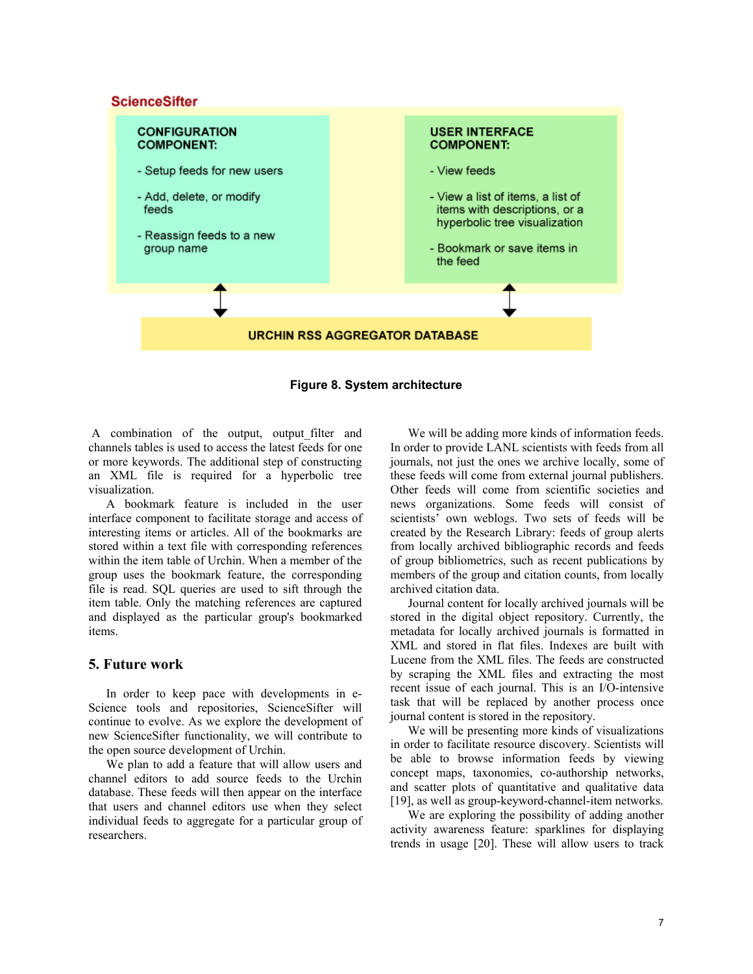# **ScienceSifter**



**Figure 8. System architecture** 

A combination of the output, output filter and channels tables is used to access the latest feeds for one or more keywords. The additional step of constructing an XML file is required for a hyperbolic tree visualization.

A bookmark feature is included in the user interface component to facilitate storage and access of interesting items or articles. All of the bookmarks are stored within a text file with corresponding references within the item table of Urchin. When a member of the group uses the bookmark feature, the corresponding file is read. SQL queries are used to sift through the item table. Only the matching references are captured and displayed as the particular group's bookmarked items.

# **5. Future work**

In order to keep pace with developments in e-Science tools and repositories, ScienceSifter will continue to evolve. As we explore the development of new ScienceSifter functionality, we will contribute to the open source development of Urchin.

We plan to add a feature that will allow users and channel editors to add source feeds to the Urchin database. These feeds will then appear on the interface that users and channel editors use when they select individual feeds to aggregate for a particular group of researchers.

We will be adding more kinds of information feeds. In order to provide LANL scientists with feeds from all journals, not just the ones we archive locally, some of these feeds will come from external journal publishers. Other feeds will come from scientific societies and news organizations. Some feeds will consist of scientists' own weblogs. Two sets of feeds will be created by the Research Library: feeds of group alerts from locally archived bibliographic records and feeds of group bibliometrics, such as recent publications by members of the group and citation counts, from locally archived citation data.

Journal content for locally archived journals will be stored in the digital object repository. Currently, the metadata for locally archived journals is formatted in XML and stored in flat files. Indexes are built with Lucene from the XML files. The feeds are constructed by scraping the XML files and extracting the most recent issue of each journal. This is an I/O-intensive task that will be replaced by another process once journal content is stored in the repository.

We will be presenting more kinds of visualizations in order to facilitate resource discovery. Scientists will be able to browse information feeds by viewing concept maps, taxonomies, co-authorship networks, and scatter plots of quantitative and qualitative data [19], as well as group-keyword-channel-item networks.

We are exploring the possibility of adding another activity awareness feature: sparklines for displaying trends in usage [20]. These will allow users to track